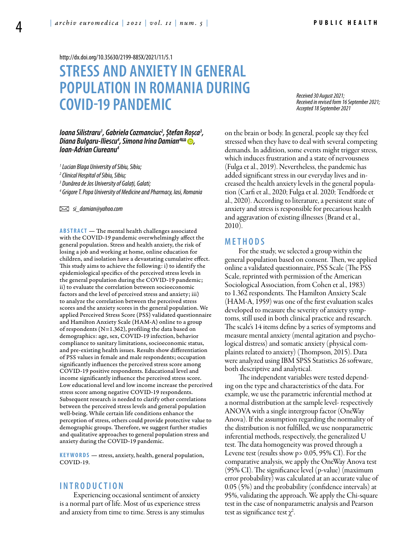<http://dx.doi.org/10.35630/2199-885X/2021/11/5.1>

# **STRESS AND ANXIETY IN GENERAL POPULATION IN ROMANIA DURING COVID-19 PANDEMIC**

### *Ioana Silistraru1 , Gabriela Cozmanciuc2 , Ștefan Roșca3 , Diana Bulgaru-Iliescu4 [,](https://orcid.org/0000-0002-7882-1592) [Simona Irina Damian](https://orcid.org/0000-0002-5186-8315)4 , Ioan-Adrian Ciureanu4*

*1 Lucian Blaga University of Sibiu, Sibiu;*

*2 Clinical Hospital of Sibiu, Sibiu;*

*3 Dunărea de Jos University of Galați, Galati;*

*4 Grigore T. Popa University of Medicine and Pharmacy, Iasi, Romania* 

 *si\_damian@yahoo.com*

**ABSTRACT** — The mental health challenges associated with the COVID-19 pandemic overwhelmingly affect the general population. Stress and health anxiety, the risk of losing a job and working at home, online education for children, and isolation have a devastating cumulative effect. This study aims to achieve the following: i) to identify the epidemiological specifics of the perceived stress levels in the general population during the COVID-19 pandemic; ii) to evaluate the correlation between socioeconomic factors and the level of perceived stress and anxiety; iii) to analyze the correlation between the perceived stress scores and the anxiety scores in the general population. We applied Perceived Stress Score (PSS) validated questionnaire and Hamilton Anxiety Scale (HAM-A) online to a group of respondents (N=1.362), profiling the data based on demographics: age, sex, COVID-19 infection, behavior compliance to sanitary limitations, socioeconomic status, and pre-existing health issues. Results show differentiation of PSS values in female and male respondents; occupation significantly influences the perceived stress score among COVID-19 positive respondents. Educational level and income significantly influence the perceived stress score. Low educational level and low income increase the perceived stress score among negative COVID-19 respondents. Subsequent research is needed to clarify other correlations between the perceived stress levels and general population well-being. While certain life conditions enhance the perception of stress, others could provide protective value to demographic groups. Therefore, we suggest further studies and qualitative approaches to general population stress and anxiety during the COVID-19 pandemic.

**KEYWORDS** — stress, anxiety, health, general population, COVID-19.

## **I n t r o d uct i o n**

Experiencing occasional sentiment of anxiety is a normal part of life. Most of us experience stress and anxiety from time to time. Stress is any stimulus

*Received 30 August 2021; Received in revised form 16 September 2021; Accepted 18 September 2021*

on the brain or body. In general, people say they feel stressed when they have to deal with several competing demands. In addition, some events might trigger stress, which induces frustration and a state of nervousness (Fulga et al., 2019). Nevertheless, the pandemic has added significant stress in our everyday lives and increased the health anxiety levels in the general population (Carfi et al., 2020; Fulga et al. 2020; Tendforde et al., 2020). According to literature, a persistent state of anxiety and stress is responsible for precarious health and aggravation of existing illnesses (Brand et al., 2010).

## **MET H ODS**

For the study, we selected a group within the general population based on consent. Then, we applied online a validated questionnaire, PSS Scale (The PSS Scale, reprinted with permission of the American Sociological Association, from Cohen et al., 1983) to 1.362 respondents. The Hamilton Anxiety Scale (HAM-A, 1959) was one of the first evaluation scales developed to measure the severity of anxiety symptoms, still used in both clinical practice and research. The scale's 14 items define by a series of symptoms and measure mental anxiety (mental agitation and psychological distress) and somatic anxiety (physical complaints related to anxiety) (Thompson, 2015). Data were analyzed using IBM SPSS Statistics 26 software, both descriptive and analytical.

The independent variables were tested depending on the type and characteristics of the data. For example, we use the parametric inferential method at a normal distribution at the sample level- respectively ANOVA with a single intergroup factor (OneWay Anova). If the assumption regarding the normality of the distribution is not fulfilled, we use nonparametric inferential methods, respectively, the generalized U test. The data homogeneity was proved through a Levene test (results show p> 0.05, 95% CI). For the comparative analysis, we apply the OneWay Anova test (95% CI). The significance level (p-value) (maximum error probability) was calculated at an accurate value of 0.05 (5%) and the probability (confidence intervals) at 95%, validating the approach. We apply the Chi-square test in the case of nonparametric analysis and Pearson test as significance test  $\chi^2$ . .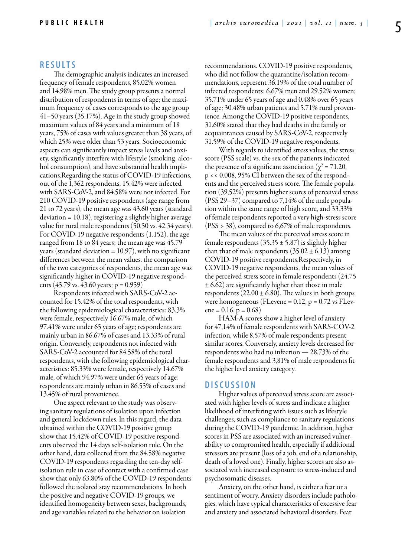#### **RES U LTS**

The demographic analysis indicates an increased frequency of female respondents, 85.02% women and 14.98% men. The study group presents a normal distribution of respondents in terms of age; the maximum frequency of cases corresponds to the age group 41–50 years (35.17%). Age in the study group showed maximum values of 84 years and a minimum of 18 years, 75% of cases with values greater than 38 years, of which 25% were older than 53 years. Socioeconomic aspects can significantly impact stress levels and anxiety, significantly interfere with lifestyle (smoking, alcohol consumption), and have substantial health implications.Regarding the status of COVID-19 infections, out of the 1,362 respondents, 15.42% were infected with SARS-CoV-2, and 84.58% were not infected. For 210 COVID-19 positive respondents (age range from 21 to 72 years), the mean age was 43.60 years (standard deviation = 10.18), registering a slightly higher average value for rural male respondents (50.50 vs. 42.34 years). For COVID-19 negative respondents (1.152), the age ranged from 18 to 84 years; the mean age was 45.79 years (standard deviation  $= 10.97$ ), with no significant differences between the mean values. the comparison of the two categories of respondents, the mean age was significantly higher in COVID-19 negative respondents (45.79 vs. 43.60 years;  $p = 0.959$ )

Respondents infected with SARS-CoV-2 accounted for 15.42% of the total respondents, with the following epidemiological characteristics: 83.3% were female, respectively 16.67% male, of which 97.41% were under 65 years of age; respondents are mainly urban in 86.67% of cases and 13.33% of rural origin. Conversely, respondents not infected with SARS-CoV-2 accounted for 84.58% of the total respondents, with the following epidemiological characteristics: 85.33% were female, respectively 14.67% male, of which 94.97% were under 65 years of age; respondents are mainly urban in 86.55% of cases and 13.45% of rural provenience.

One aspect relevant to the study was observing sanitary regulations of isolation upon infection and general lockdown rules. In this regard, the data obtained within the COVID-19 positive group show that 15.42% of COVID-19 positive respondents observed the 14 days self-isolation rule. On the other hand, data collected from the 84.58% negative COVID-19 respondents regarding the ten-day selfisolation rule in case of contact with a confirmed case show that only 63.80% of the COVID-19 respondents followed the isolated stay recommendations. In both the positive and negative COVID-19 groups, we identified homogeneity between sexes, backgrounds, and age variables related to the behavior on isolation

recommendations. COVID-19 positive respondents, who did not follow the quarantine/isolation recommendations, represent 36.19% of the total number of infected respondents: 6.67% men and 29.52% women; 35.71% under 65 years of age and 0.48% over 65 years of age; 30.48% urban patients and 5.71% rural provenience. Among the COVID-19 positive respondents, 31.60% stated that they had deaths in the family or acquaintances caused by SARS-CoV-2, respectively 31.59% of the COVID-19 negative respondents.

With regards to identified stress values, the stress score (PSS scale) vs. the sex of the patients indicated the presence of a significant association ( $\chi^2$  = 71.20, p << 0.008, 95% CI between the sex of the respondents and the perceived stress score. The female population (39,52%) presents higher scores of perceived stress (PSS 29–37) compared to 7,14% of the male population within the same range of high score, and 33,33% of female respondents reported a very high-stress score (PSS > 38), compared to 6,67% of male respondents.

The mean values of the perceived stress score in female respondents (35.35  $\pm$  5.87) is slightly higher than that of male respondents  $(35.02 \pm 6.13)$  among COVID-19 positive respondents.Respectively, in COVID-19 negative respondents, the mean values of the perceived stress score in female respondents (24.75  $\pm$  6.62) are significantly higher than those in male respondents  $(22.00 \pm 6.80)$ . The values in both groups were homogeneous (FLevene =  $0.12$ ,  $p = 0.72$  vs FLevene =  $0.16$ , p =  $0.68$ )

HAM-A scores show a higher level of anxiety for 47,14% of female respondents with SARS-COV-2 infection, while 8,57% of male respondents present similar scores. Conversely, anxiety levels decreased for respondents who had no infection — 28,73% of the female respondents and 3,81% of male respondents fit the higher level anxiety category.

#### **DISC U SSION**

Higher values of perceived stress score are associated with higher levels of stress and indicate a higher likelihood of interfering with issues such as lifestyle challenges, such as compliance to sanitary regulations during the COVID-19 pandemic. In addition, higher scores in PSS are associated with an increased vulnerability to compromised health, especially if additional stressors are present (loss of a job, end of a relationship, death of a loved one). Finally, higher scores are also associated with increased exposure to stress-induced and psychosomatic diseases.

Anxiety, on the other hand, is either a fear or a sentiment of worry. Anxiety disorders include pathologies, which have typical characteristics of excessive fear and anxiety and associated behavioral disorders. Fear